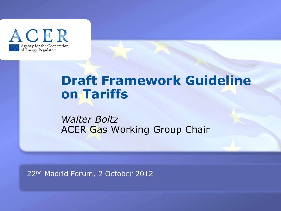

# **Draft Framework Guideline on Tariffs**

*Walter Boltz* ACER Gas Working Group Chair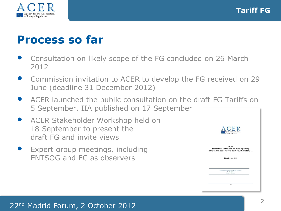

## **Process so far**

- Consultation on likely scope of the FG concluded on 26 March 2012
- Commission invitation to ACER to develop the FG received on 29 June (deadline 31 December 2012)
- ACER launched the public consultation on the draft FG Tariffs on 5 September, IIA published on 17 September
- ACER Stakeholder Workshop held on 18 September to present the draft FG and invite views
- Expert group meetings, including ENTSOG and EC as observers

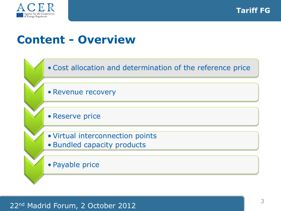

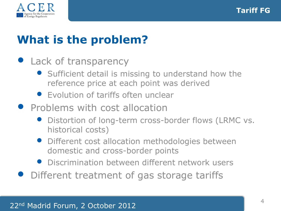

# **What is the problem?**

#### • Lack of transparency

- Sufficient detail is missing to understand how the reference price at each point was derived
- Evolution of tariffs often unclear
- **•** Problems with cost allocation
	- Distortion of long-term cross-border flows (LRMC vs. historical costs)
	- Different cost allocation methodologies between domestic and cross-border points
	- Discrimination between different network users
- Different treatment of gas storage tariffs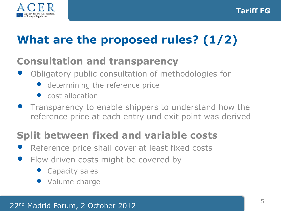

# **What are the proposed rules? (1/2)**

## **Consultation and transparency**

- Obligatory public consultation of methodologies for
	- determining the reference price
	- cost allocation
- Transparency to enable shippers to understand how the reference price at each entry und exit point was derived

## **Split between fixed and variable costs**

- Reference price shall cover at least fixed costs
- Flow driven costs might be covered by
	- **Capacity sales**
	- Volume charge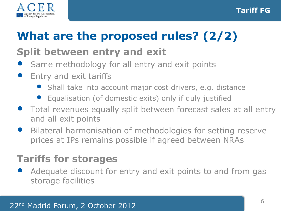

# **What are the proposed rules? (2/2)**

## **Split between entry and exit**

- Same methodology for all entry and exit points
- Entry and exit tariffs
	- Shall take into account major cost drivers, e.g. distance
	- Equalisation (of domestic exits) only if duly justified
- Total revenues equally split between forecast sales at all entry and all exit points
- Bilateral harmonisation of methodologies for setting reserve prices at IPs remains possible if agreed between NRAs

## **Tariffs for storages**

Adequate discount for entry and exit points to and from gas storage facilities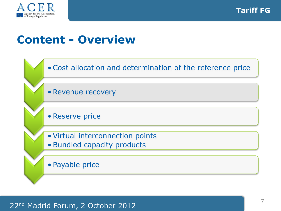

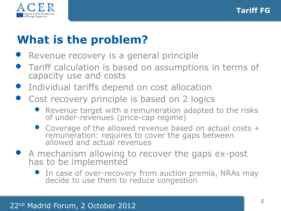

# **What is the problem?**

- Revenue recovery is a general principle
- Tariff calculation is based on assumptions in terms of capacity use and costs
- Individual tariffs depend on cost allocation
- Cost recovery principle is based on 2 logics
	- Revenue target with a remuneration adapted to the risks of under-revenues (price-cap regime)
	- Coverage of the allowed revenue based on actual costs + remuneration: requires to cover the gaps between allowed and actual revenues
- A mechanism allowing to recover the gaps ex-post has to be implemented
	- In case of over-recovery from auction premia, NRAs may decide to use them to reduce congestion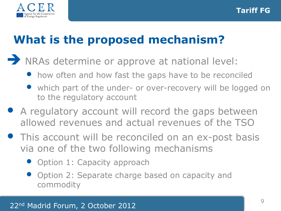

# **What is the proposed mechanism?**

- NRAs determine or approve at national level:
	- how often and how fast the gaps have to be reconciled
	- which part of the under- or over-recovery will be logged on to the regulatory account
- A regulatory account will record the gaps between allowed revenues and actual revenues of the TSO
- This account will be reconciled on an ex-post basis via one of the two following mechanisms
	- Option 1: Capacity approach
	- Option 2: Separate charge based on capacity and commodity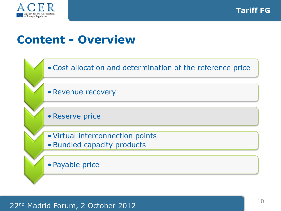

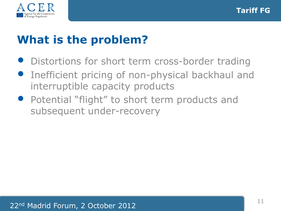

# **What is the problem?**

- Distortions for short term cross-border trading
- **•** Inefficient pricing of non-physical backhaul and interruptible capacity products
- Potential "flight" to short term products and subsequent under-recovery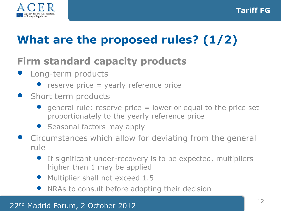

# **What are the proposed rules? (1/2)**

## **Firm standard capacity products**

- Long-term products
	- reserve price  $=$  yearly reference price
- Short term products
	- general rule: reserve price  $=$  lower or equal to the price set proportionately to the yearly reference price
	- Seasonal factors may apply
- Circumstances which allow for deviating from the general rule
	- If significant under-recovery is to be expected, multipliers higher than 1 may be applied
	- Multiplier shall not exceed 1.5
	- NRAs to consult before adopting their decision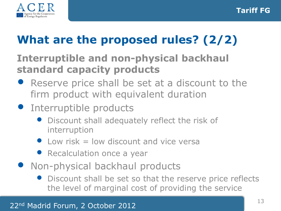

# **What are the proposed rules? (2/2)**

## **Interruptible and non-physical backhaul standard capacity products**

- Reserve price shall be set at a discount to the firm product with equivalent duration
- **•** Interruptible products
	- Discount shall adequately reflect the risk of interruption
	- $\bullet$  Low risk = low discount and vice versa
	- Recalculation once a year
- Non-physical backhaul products
	- Discount shall be set so that the reserve price reflects the level of marginal cost of providing the service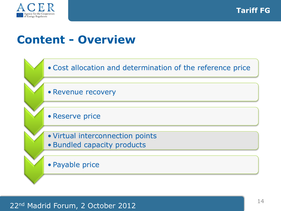

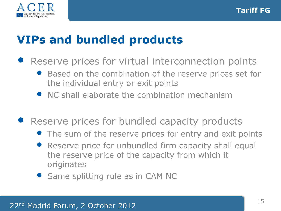

## **VIPs and bundled products**

- Reserve prices for virtual interconnection points
	- Based on the combination of the reserve prices set for the individual entry or exit points
	- NC shall elaborate the combination mechanism
- Reserve prices for bundled capacity products
	- The sum of the reserve prices for entry and exit points
	- Reserve price for unbundled firm capacity shall equal the reserve price of the capacity from which it originates
	- Same splitting rule as in CAM NC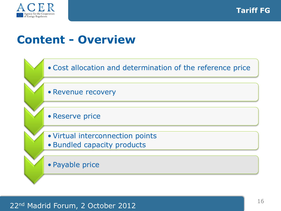

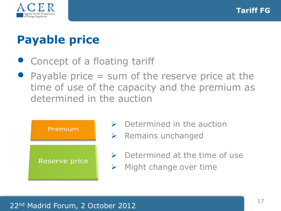

# **Payable price**

- Concept of a floating tariff
- Payable price  $=$  sum of the reserve price at the time of use of the capacity and the premium as determined in the auction



- $\triangleright$  Determined in the auction
- $\triangleright$  Remains unchanged
- $\triangleright$  Determined at the time of use
- $\triangleright$  Might change over time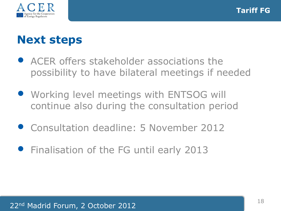

## **Next steps**

- ACER offers stakeholder associations the possibility to have bilateral meetings if needed
- Working level meetings with ENTSOG will continue also during the consultation period
- Consultation deadline: 5 November 2012
- **•** Finalisation of the FG until early 2013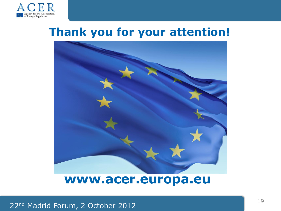

## **Thank you for your attention!**



#### **www.acer.europa.eu**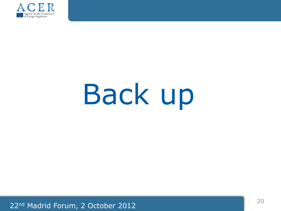

# Back up

22nd Madrid Forum, 2 October 2012 20 20 20 20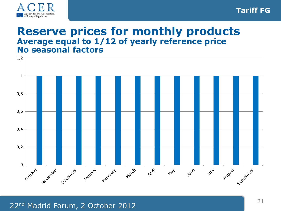

#### **Reserve prices for monthly products Average equal to 1/12 of yearly reference price No seasonal factors**

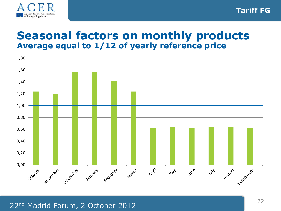

#### **Seasonal factors on monthly products Average equal to 1/12 of yearly reference price**

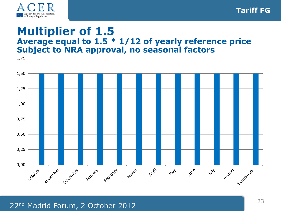

#### **Multiplier of 1.5 Average equal to 1.5 \* 1/12 of yearly reference price Subject to NRA approval, no seasonal factors**